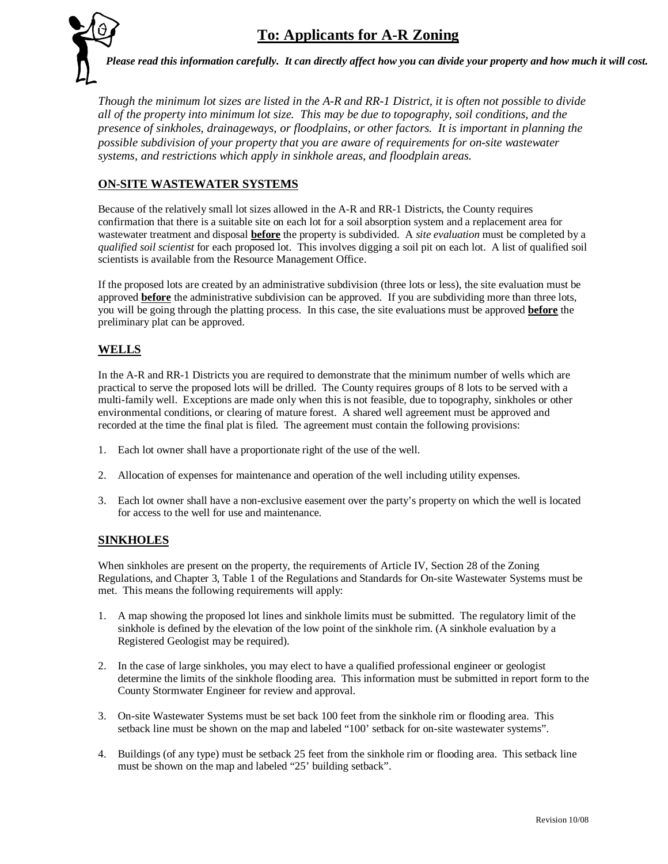

*Please read this information carefully. It can directly affect how you can divide your property and how much it will cost.*

*Though the minimum lot sizes are listed in the A-R and RR-1 District, it is often not possible to divide all of the property into minimum lot size. This may be due to topography, soil conditions, and the presence of sinkholes, drainageways, or floodplains, or other factors. It is important in planning the possible subdivision of your property that you are aware of requirements for on-site wastewater systems, and restrictions which apply in sinkhole areas, and floodplain areas.*

## **ON-SITE WASTEWATER SYSTEMS**

Because of the relatively small lot sizes allowed in the A-R and RR-1 Districts, the County requires confirmation that there is a suitable site on each lot for a soil absorption system and a replacement area for wastewater treatment and disposal **before** the property is subdivided. A *site evaluation* must be completed by a *qualified soil scientist* for each proposed lot. This involves digging a soil pit on each lot. A list of qualified soil scientists is available from the Resource Management Office.

If the proposed lots are created by an administrative subdivision (three lots or less), the site evaluation must be approved **before** the administrative subdivision can be approved. If you are subdividing more than three lots, you will be going through the platting process. In this case, the site evaluations must be approved **before** the preliminary plat can be approved.

### **WELLS**

In the A-R and RR-1 Districts you are required to demonstrate that the minimum number of wells which are practical to serve the proposed lots will be drilled. The County requires groups of 8 lots to be served with a multi-family well. Exceptions are made only when this is not feasible, due to topography, sinkholes or other environmental conditions, or clearing of mature forest. A shared well agreement must be approved and recorded at the time the final plat is filed. The agreement must contain the following provisions:

- 1. Each lot owner shall have a proportionate right of the use of the well.
- 2. Allocation of expenses for maintenance and operation of the well including utility expenses.
- 3. Each lot owner shall have a non-exclusive easement over the party's property on which the well is located for access to the well for use and maintenance.

### **SINKHOLES**

When sinkholes are present on the property, the requirements of Article IV, Section 28 of the Zoning Regulations, and Chapter 3, Table 1 of the Regulations and Standards for On-site Wastewater Systems must be met. This means the following requirements will apply:

- 1. A map showing the proposed lot lines and sinkhole limits must be submitted. The regulatory limit of the sinkhole is defined by the elevation of the low point of the sinkhole rim. (A sinkhole evaluation by a Registered Geologist may be required).
- 2. In the case of large sinkholes, you may elect to have a qualified professional engineer or geologist determine the limits of the sinkhole flooding area. This information must be submitted in report form to the County Stormwater Engineer for review and approval.
- 3. On-site Wastewater Systems must be set back 100 feet from the sinkhole rim or flooding area. This setback line must be shown on the map and labeled "100' setback for on-site wastewater systems".
- 4. Buildings (of any type) must be setback 25 feet from the sinkhole rim or flooding area. This setback line must be shown on the map and labeled "25' building setback".